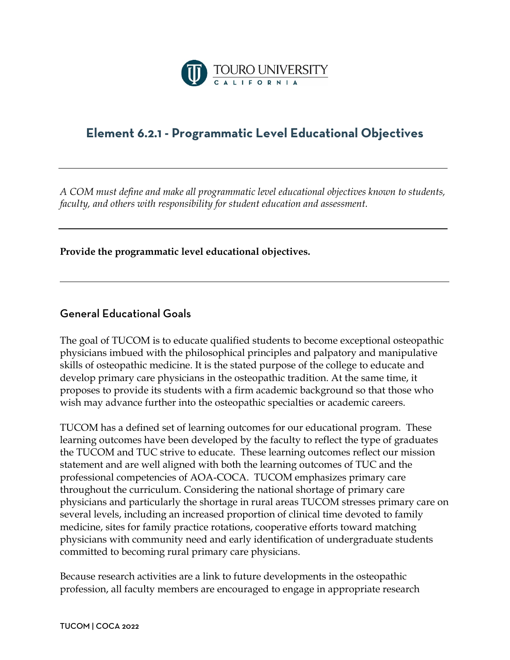

## **Element 6.2.1 - Programmatic Level Educational Objectives**

*A COM must define and make all programmatic level educational objectives known to students, faculty, and others with responsibility for student education and assessment.*

**Provide the programmatic level educational objectives.** 

## General Educational Goals

The goal of TUCOM is to educate qualified students to become exceptional osteopathic physicians imbued with the philosophical principles and palpatory and manipulative skills of osteopathic medicine. It is the stated purpose of the college to educate and develop primary care physicians in the osteopathic tradition. At the same time, it proposes to provide its students with a firm academic background so that those who wish may advance further into the osteopathic specialties or academic careers.

TUCOM has a defined set of learning outcomes for our educational program. These learning outcomes have been developed by the faculty to reflect the type of graduates the TUCOM and TUC strive to educate. These learning outcomes reflect our mission statement and are well aligned with both the learning outcomes of TUC and the professional competencies of AOA-COCA. TUCOM emphasizes primary care throughout the curriculum. Considering the national shortage of primary care physicians and particularly the shortage in rural areas TUCOM stresses primary care on several levels, including an increased proportion of clinical time devoted to family medicine, sites for family practice rotations, cooperative efforts toward matching physicians with community need and early identification of undergraduate students committed to becoming rural primary care physicians.

Because research activities are a link to future developments in the osteopathic profession, all faculty members are encouraged to engage in appropriate research